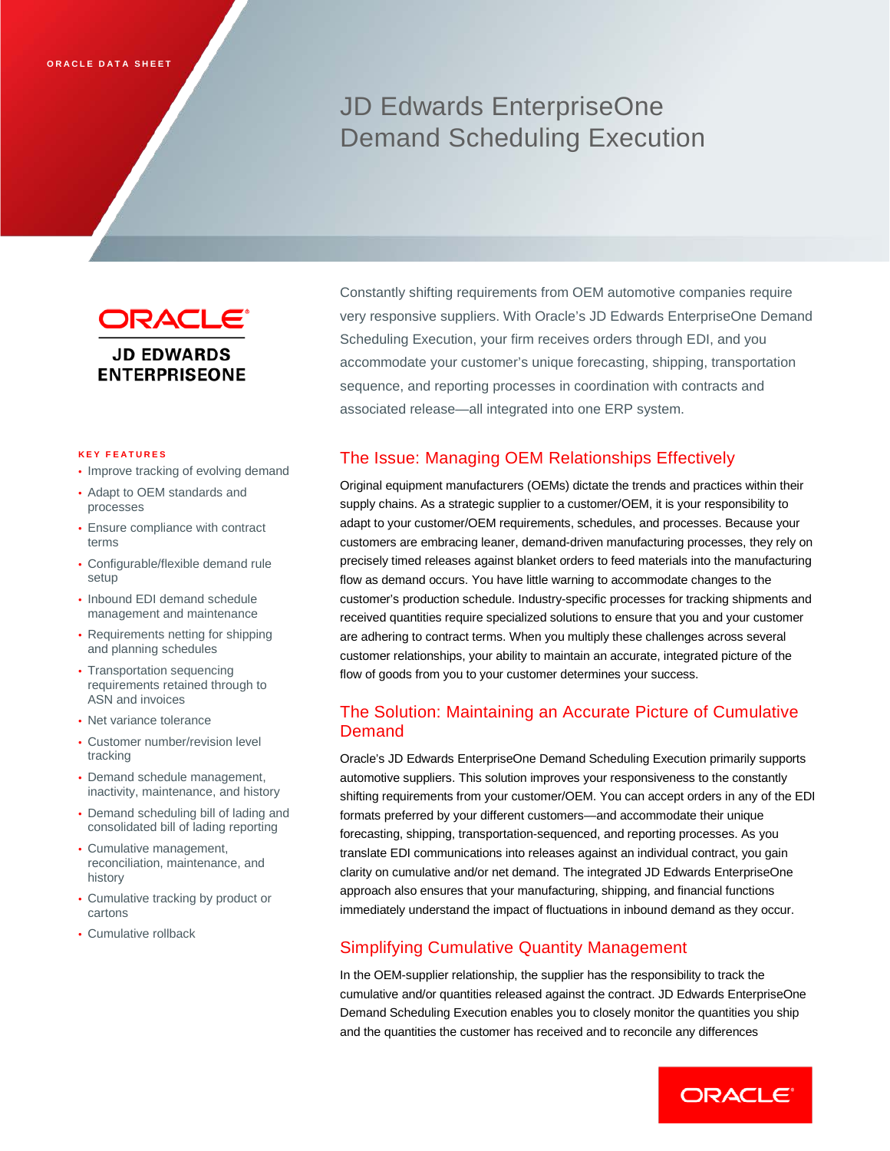# JD Edwards EnterpriseOne Demand Scheduling Execution



#### **KEY FEATURES**

- Improve tracking of evolving demand
- Adapt to OEM standards and processes
- Ensure compliance with contract terms
- Configurable/flexible demand rule setup
- Inbound EDI demand schedule management and maintenance
- Requirements netting for shipping and planning schedules
- Transportation sequencing requirements retained through to ASN and invoices
- Net variance tolerance
- Customer number/revision level tracking
- Demand schedule management, inactivity, maintenance, and history
- Demand scheduling bill of lading and consolidated bill of lading reporting
- Cumulative management, reconciliation, maintenance, and history
- Cumulative tracking by product or cartons
- Cumulative rollback

Constantly shifting requirements from OEM automotive companies require very responsive suppliers. With Oracle's JD Edwards EnterpriseOne Demand Scheduling Execution, your firm receives orders through EDI, and you accommodate your customer's unique forecasting, shipping, transportation sequence, and reporting processes in coordination with contracts and associated release—all integrated into one ERP system.

## The Issue: Managing OEM Relationships Effectively

Original equipment manufacturers (OEMs) dictate the trends and practices within their supply chains. As a strategic supplier to a customer/OEM, it is your responsibility to adapt to your customer/OEM requirements, schedules, and processes. Because your customers are embracing leaner, demand-driven manufacturing processes, they rely on precisely timed releases against blanket orders to feed materials into the manufacturing flow as demand occurs. You have little warning to accommodate changes to the customer's production schedule. Industry-specific processes for tracking shipments and received quantities require specialized solutions to ensure that you and your customer are adhering to contract terms. When you multiply these challenges across several customer relationships, your ability to maintain an accurate, integrated picture of the flow of goods from you to your customer determines your success.

# The Solution: Maintaining an Accurate Picture of Cumulative Demand

Oracle's JD Edwards EnterpriseOne Demand Scheduling Execution primarily supports automotive suppliers. This solution improves your responsiveness to the constantly shifting requirements from your customer/OEM. You can accept orders in any of the EDI formats preferred by your different customers—and accommodate their unique forecasting, shipping, transportation-sequenced, and reporting processes. As you translate EDI communications into releases against an individual contract, you gain clarity on cumulative and/or net demand. The integrated JD Edwards EnterpriseOne approach also ensures that your manufacturing, shipping, and financial functions immediately understand the impact of fluctuations in inbound demand as they occur.

# Simplifying Cumulative Quantity Management

In the OEM-supplier relationship, the supplier has the responsibility to track the cumulative and/or quantities released against the contract. JD Edwards EnterpriseOne Demand Scheduling Execution enables you to closely monitor the quantities you ship and the quantities the customer has received and to reconcile any differences

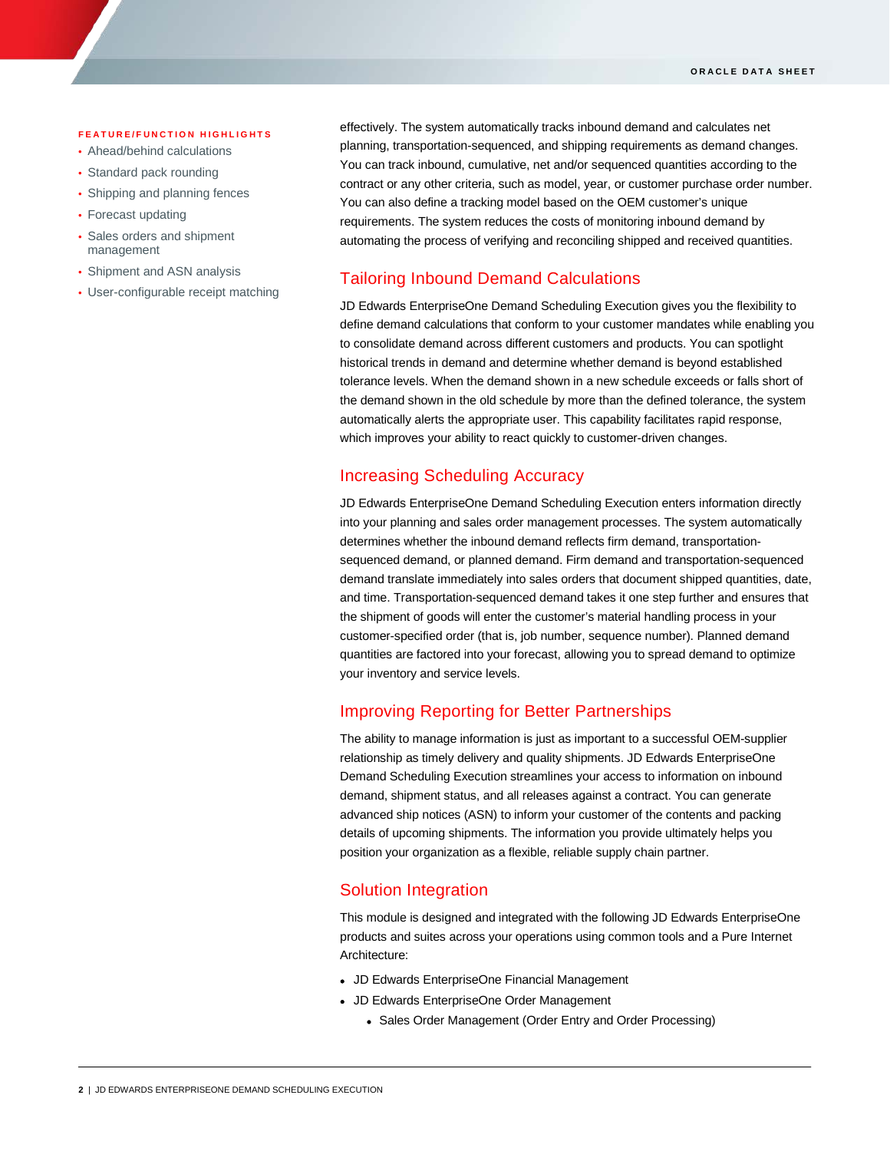#### **FEATURE/FUNCTION HIGHLIGHTS**

- Ahead/behind calculations
- Standard pack rounding
- Shipping and planning fences
- Forecast updating

ī

- Sales orders and shipment management
- Shipment and ASN analysis
- User-configurable receipt matching

effectively. The system automatically tracks inbound demand and calculates net planning, transportation-sequenced, and shipping requirements as demand changes. You can track inbound, cumulative, net and/or sequenced quantities according to the contract or any other criteria, such as model, year, or customer purchase order number. You can also define a tracking model based on the OEM customer's unique requirements. The system reduces the costs of monitoring inbound demand by automating the process of verifying and reconciling shipped and received quantities.

## Tailoring Inbound Demand Calculations

JD Edwards EnterpriseOne Demand Scheduling Execution gives you the flexibility to define demand calculations that conform to your customer mandates while enabling you to consolidate demand across different customers and products. You can spotlight historical trends in demand and determine whether demand is beyond established tolerance levels. When the demand shown in a new schedule exceeds or falls short of the demand shown in the old schedule by more than the defined tolerance, the system automatically alerts the appropriate user. This capability facilitates rapid response, which improves your ability to react quickly to customer-driven changes.

## Increasing Scheduling Accuracy

JD Edwards EnterpriseOne Demand Scheduling Execution enters information directly into your planning and sales order management processes. The system automatically determines whether the inbound demand reflects firm demand, transportationsequenced demand, or planned demand. Firm demand and transportation-sequenced demand translate immediately into sales orders that document shipped quantities, date, and time. Transportation-sequenced demand takes it one step further and ensures that the shipment of goods will enter the customer's material handling process in your customer-specified order (that is, job number, sequence number). Planned demand quantities are factored into your forecast, allowing you to spread demand to optimize your inventory and service levels.

# Improving Reporting for Better Partnerships

The ability to manage information is just as important to a successful OEM-supplier relationship as timely delivery and quality shipments. JD Edwards EnterpriseOne Demand Scheduling Execution streamlines your access to information on inbound demand, shipment status, and all releases against a contract. You can generate advanced ship notices (ASN) to inform your customer of the contents and packing details of upcoming shipments. The information you provide ultimately helps you position your organization as a flexible, reliable supply chain partner.

### Solution Integration

This module is designed and integrated with the following JD Edwards EnterpriseOne products and suites across your operations using common tools and a Pure Internet Architecture:

- JD Edwards EnterpriseOne Financial Management
- JD Edwards EnterpriseOne Order Management
	- Sales Order Management (Order Entry and Order Processing)